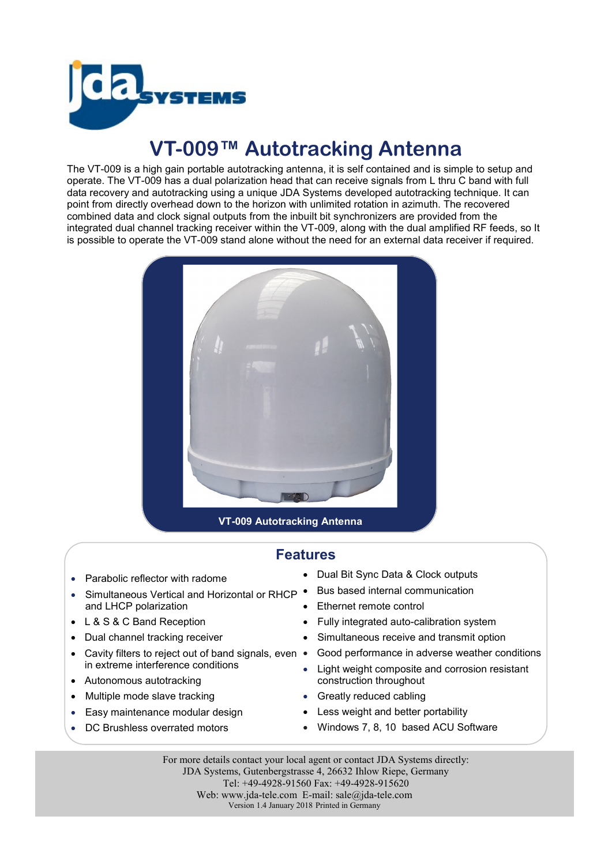

## **VT-009™ Autotracking Antenna**

The VT-009 is a high gain portable autotracking antenna, it is self contained and is simple to setup and operate. The VT-009 has a dual polarization head that can receive signals from L thru C band with full data recovery and autotracking using a unique JDA Systems developed autotracking technique. It can point from directly overhead down to the horizon with unlimited rotation in azimuth. The recovered combined data and clock signal outputs from the inbuilt bit synchronizers are provided from the integrated dual channel tracking receiver within the VT-009, along with the dual amplified RF feeds, so It is possible to operate the VT-009 stand alone without the need for an external data receiver if required.



## **Features**

- Parabolic reflector with radome
- Simultaneous Vertical and Horizontal or RHCP . and LHCP polarization
- L & S & C Band Reception
- Dual channel tracking receiver
- Cavity filters to reject out of band signals, even in extreme interference conditions
- Autonomous autotracking
- Multiple mode slave tracking
- Easy maintenance modular design
- DC Brushless overrated motors
- Dual Bit Sync Data & Clock outputs
- Bus based internal communication
- Ethernet remote control
- Fully integrated auto-calibration system
- Simultaneous receive and transmit option
- Good performance in adverse weather conditions
- Light weight composite and corrosion resistant construction throughout
- Greatly reduced cabling
- Less weight and better portability
- Windows 7, 8, 10 based ACU Software

For more details contact your local agent or contact JDA Systems directly: JDA Systems, Gutenbergstrasse 4, 26632 Ihlow Riepe, Germany Tel: +49-4928-91560 Fax: +49-4928-915620 Web: www.jda-tele.com E-mail: sale@jda-tele.com Version 1.4 January 2018 Printed in Germany